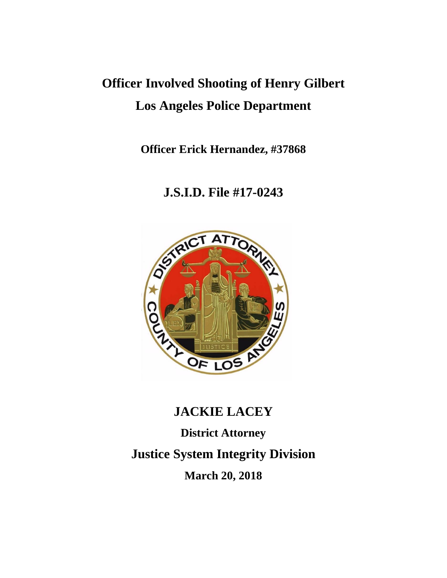# **Officer Involved Shooting of Henry Gilbert Los Angeles Police Department**

**Officer Erick Hernandez, #37868**

# **J.S.I.D. File #17-0243**



# **JACKIE LACEY**

**District Attorney Justice System Integrity Division March 20, 2018**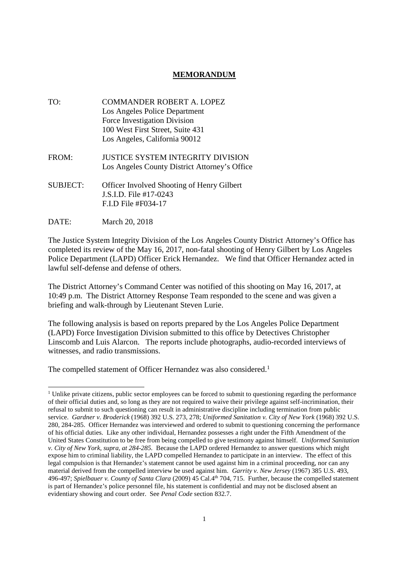### **MEMORANDUM**

- TO: COMMANDER ROBERT A. LOPEZ Los Angeles Police Department Force Investigation Division 100 West First Street, Suite 431 Los Angeles, California 90012 FROM: JUSTICE SYSTEM INTEGRITY DIVISION
- SUBJECT: Officer Involved Shooting of Henry Gilbert J.S.I.D. File #17-0243 F.I.D File #F034-17

Los Angeles County District Attorney's Office

DATE: March 20, 2018

The Justice System Integrity Division of the Los Angeles County District Attorney's Office has completed its review of the May 16, 2017, non-fatal shooting of Henry Gilbert by Los Angeles Police Department (LAPD) Officer Erick Hernandez. We find that Officer Hernandez acted in lawful self-defense and defense of others.

The District Attorney's Command Center was notified of this shooting on May 16, 2017, at 10:49 p.m. The District Attorney Response Team responded to the scene and was given a briefing and walk-through by Lieutenant Steven Lurie.

The following analysis is based on reports prepared by the Los Angeles Police Department (LAPD) Force Investigation Division submitted to this office by Detectives Christopher Linscomb and Luis Alarcon. The reports include photographs, audio-recorded interviews of witnesses, and radio transmissions.

The compelled statement of Officer Hernandez was also considered.<sup>1</sup>

<sup>&</sup>lt;sup>1</sup> Unlike private citizens, public sector employees can be forced to submit to questioning regarding the performance of their official duties and, so long as they are not required to waive their privilege against self-incrimination, their refusal to submit to such questioning can result in administrative discipline including termination from public service. *Gardner v. Broderick* (1968) 392 U.S. 273, 278; *Uniformed Sanitation v. City of New York* (1968) 392 U.S. 280, 284-285. Officer Hernandez was interviewed and ordered to submit to questioning concerning the performance of his official duties. Like any other individual, Hernandez possesses a right under the Fifth Amendment of the United States Constitution to be free from being compelled to give testimony against himself. *Uniformed Sanitation v. City of New York, supra, at 284-285.* Because the LAPD ordered Hernandez to answer questions which might expose him to criminal liability, the LAPD compelled Hernandez to participate in an interview. The effect of this legal compulsion is that Hernandez's statement cannot be used against him in a criminal proceeding, nor can any material derived from the compelled interview be used against him. *Garrity v. New Jersey* (1967) 385 U.S. 493, 496-497; *Spielbauer v. County of Santa Clara* (2009) 45 Cal.4th 704, 715. Further, because the compelled statement is part of Hernandez's police personnel file, his statement is confidential and may not be disclosed absent an evidentiary showing and court order. See *Penal Code* section 832.7.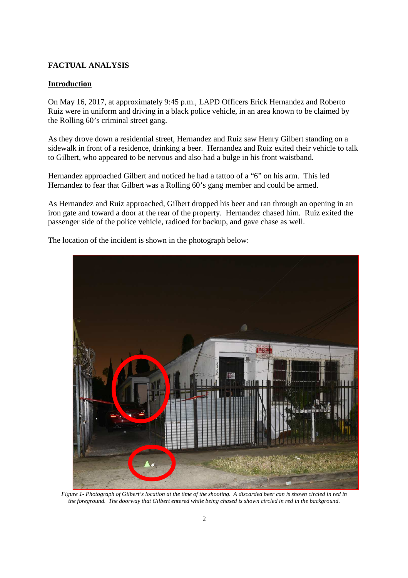### **FACTUAL ANALYSIS**

### **Introduction**

On May 16, 2017, at approximately 9:45 p.m., LAPD Officers Erick Hernandez and Roberto Ruiz were in uniform and driving in a black police vehicle, in an area known to be claimed by the Rolling 60's criminal street gang.

As they drove down a residential street, Hernandez and Ruiz saw Henry Gilbert standing on a sidewalk in front of a residence, drinking a beer. Hernandez and Ruiz exited their vehicle to talk to Gilbert, who appeared to be nervous and also had a bulge in his front waistband.

Hernandez approached Gilbert and noticed he had a tattoo of a "6" on his arm. This led Hernandez to fear that Gilbert was a Rolling 60's gang member and could be armed.

As Hernandez and Ruiz approached, Gilbert dropped his beer and ran through an opening in an iron gate and toward a door at the rear of the property. Hernandez chased him. Ruiz exited the passenger side of the police vehicle, radioed for backup, and gave chase as well.



The location of the incident is shown in the photograph below:

*Figure 1- Photograph of Gilbert's location at the time of the shooting. A discarded beer can is shown circled in red in the foreground. The doorway that Gilbert entered while being chased is shown circled in red in the background.*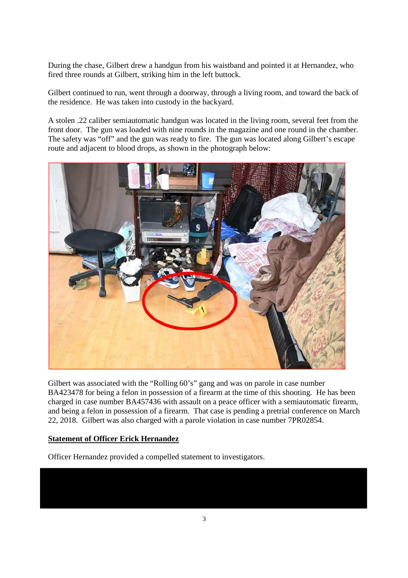During the chase, Gilbert drew a handgun from his waistband and pointed it at Hernandez, who fired three rounds at Gilbert, striking him in the left buttock.

Gilbert continued to run, went through a doorway, through a living room, and toward the back of the residence. He was taken into custody in the backyard.

A stolen .22 caliber semiautomatic handgun was located in the living room, several feet from the front door. The gun was loaded with nine rounds in the magazine and one round in the chamber. The safety was "off" and the gun was ready to fire. The gun was located along Gilbert's escape route and adjacent to blood drops, as shown in the photograph below:



Gilbert was associated with the "Rolling 60's" gang and was on parole in case number BA423478 for being a felon in possession of a firearm at the time of this shooting. He has been charged in case number BA457436 with assault on a peace officer with a semiautomatic firearm, and being a felon in possession of a firearm. That case is pending a pretrial conference on March 22, 2018. Gilbert was also charged with a parole violation in case number 7PR02854.

#### **Statement of Officer Erick Hernandez**

Officer Hernandez provided a compelled statement to investigators.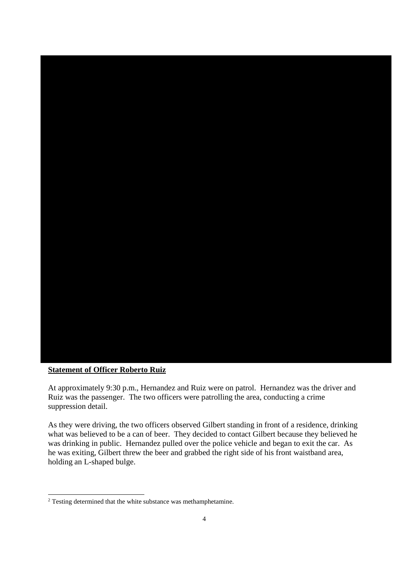

#### **Statement of Officer Roberto Ruiz**

At approximately 9:30 p.m., Hernandez and Ruiz were on patrol. Hernandez was the driver and Ruiz was the passenger. The two officers were patrolling the area, conducting a crime suppression detail.

As they were driving, the two officers observed Gilbert standing in front of a residence, drinking what was believed to be a can of beer. They decided to contact Gilbert because they believed he was drinking in public. Hernandez pulled over the police vehicle and began to exit the car. As he was exiting, Gilbert threw the beer and grabbed the right side of his front waistband area, holding an L-shaped bulge.

<sup>&</sup>lt;sup>2</sup> Testing determined that the white substance was methamphetamine.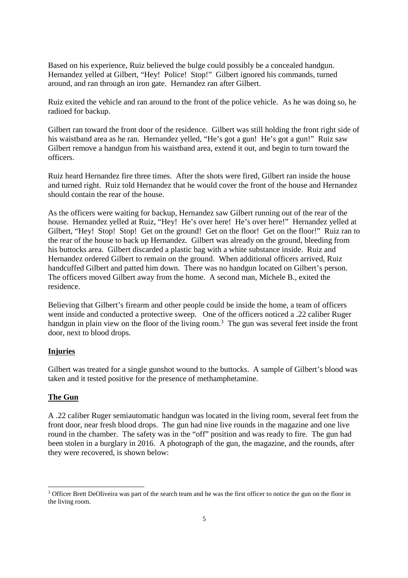Based on his experience, Ruiz believed the bulge could possibly be a concealed handgun. Hernandez yelled at Gilbert, "Hey! Police! Stop!" Gilbert ignored his commands, turned around, and ran through an iron gate. Hernandez ran after Gilbert.

Ruiz exited the vehicle and ran around to the front of the police vehicle. As he was doing so, he radioed for backup.

Gilbert ran toward the front door of the residence. Gilbert was still holding the front right side of his waistband area as he ran. Hernandez yelled, "He's got a gun! He's got a gun!" Ruiz saw Gilbert remove a handgun from his waistband area, extend it out, and begin to turn toward the officers.

Ruiz heard Hernandez fire three times. After the shots were fired, Gilbert ran inside the house and turned right. Ruiz told Hernandez that he would cover the front of the house and Hernandez should contain the rear of the house.

As the officers were waiting for backup, Hernandez saw Gilbert running out of the rear of the house. Hernandez yelled at Ruiz, "Hey! He's over here! He's over here!" Hernandez yelled at Gilbert, "Hey! Stop! Stop! Get on the ground! Get on the floor! Get on the floor!" Ruiz ran to the rear of the house to back up Hernandez. Gilbert was already on the ground, bleeding from his buttocks area. Gilbert discarded a plastic bag with a white substance inside. Ruiz and Hernandez ordered Gilbert to remain on the ground. When additional officers arrived, Ruiz handcuffed Gilbert and patted him down. There was no handgun located on Gilbert's person. The officers moved Gilbert away from the home. A second man, Michele B., exited the residence.

Believing that Gilbert's firearm and other people could be inside the home, a team of officers went inside and conducted a protective sweep. One of the officers noticed a .22 caliber Ruger handgun in plain view on the floor of the living room.<sup>3</sup> The gun was several feet inside the front door, next to blood drops.

# **Injuries**

Gilbert was treated for a single gunshot wound to the buttocks. A sample of Gilbert's blood was taken and it tested positive for the presence of methamphetamine.

#### **The Gun**

A .22 caliber Ruger semiautomatic handgun was located in the living room, several feet from the front door, near fresh blood drops. The gun had nine live rounds in the magazine and one live round in the chamber. The safety was in the "off" position and was ready to fire. The gun had been stolen in a burglary in 2016. A photograph of the gun, the magazine, and the rounds, after they were recovered, is shown below:

<sup>&</sup>lt;sup>3</sup> Officer Brett DeOliveira was part of the search team and he was the first officer to notice the gun on the floor in the living room.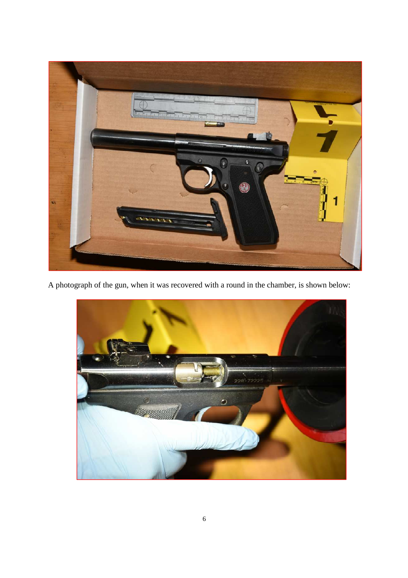

A photograph of the gun, when it was recovered with a round in the chamber, is shown below:

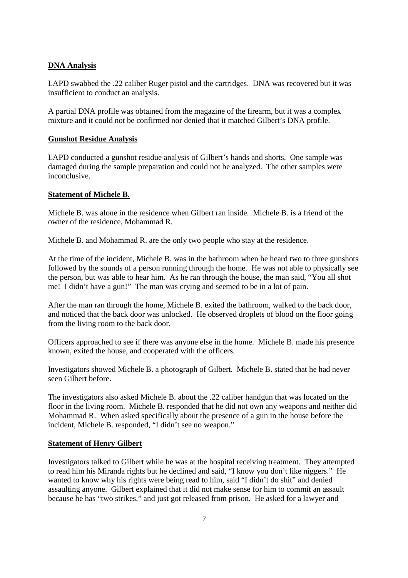#### **DNA Analysis**

LAPD swabbed the .22 caliber Ruger pistol and the cartridges. DNA was recovered but it was insufficient to conduct an analysis.

A partial DNA profile was obtained from the magazine of the firearm, but it was a complex mixture and it could not be confirmed nor denied that it matched Gilbert's DNA profile.

#### **Gunshot Residue Analysis**

LAPD conducted a gunshot residue analysis of Gilbert's hands and shorts. One sample was damaged during the sample preparation and could not be analyzed. The other samples were inconclusive.

#### **Statement of Michele B.**

Michele B. was alone in the residence when Gilbert ran inside. Michele B. is a friend of the owner of the residence, Mohammad R.

Michele B. and Mohammad R. are the only two people who stay at the residence.

At the time of the incident, Michele B. was in the bathroom when he heard two to three gunshots followed by the sounds of a person running through the home. He was not able to physically see the person, but was able to hear him. As he ran through the house, the man said, "You all shot me! I didn't have a gun!" The man was crying and seemed to be in a lot of pain.

After the man ran through the home, Michele B. exited the bathroom, walked to the back door, and noticed that the back door was unlocked. He observed droplets of blood on the floor going from the living room to the back door.

Officers approached to see if there was anyone else in the home. Michele B. made his presence known, exited the house, and cooperated with the officers.

Investigators showed Michele B. a photograph of Gilbert. Michele B. stated that he had never seen Gilbert before.

The investigators also asked Michele B. about the .22 caliber handgun that was located on the floor in the living room. Michele B. responded that he did not own any weapons and neither did Mohammad R. When asked specifically about the presence of a gun in the house before the incident, Michele B. responded, "I didn't see no weapon."

#### **Statement of Henry Gilbert**

Investigators talked to Gilbert while he was at the hospital receiving treatment. They attempted to read him his Miranda rights but he declined and said, "I know you don't like niggers." He wanted to know why his rights were being read to him, said "I didn't do shit" and denied assaulting anyone. Gilbert explained that it did not make sense for him to commit an assault because he has "two strikes," and just got released from prison. He asked for a lawyer and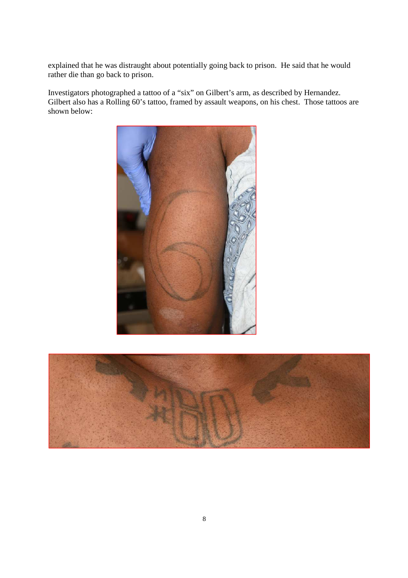explained that he was distraught about potentially going back to prison. He said that he would rather die than go back to prison.

Investigators photographed a tattoo of a "six" on Gilbert's arm, as described by Hernandez. Gilbert also has a Rolling 60's tattoo, framed by assault weapons, on his chest. Those tattoos are shown below: